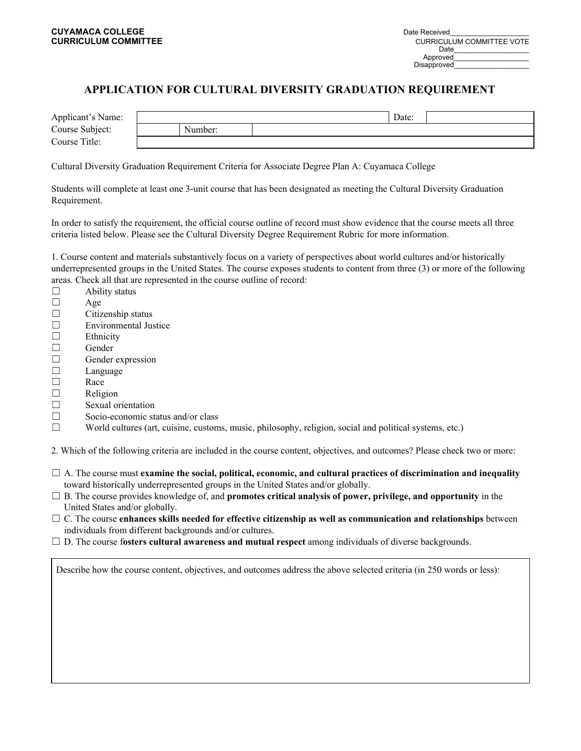## **APPLICATION FOR CULTURAL DIVERSITY GRADUATION REQUIREMENT**

| Applicant's Name: |         | Date: |  |
|-------------------|---------|-------|--|
| Course Subject:   | Number: |       |  |
| Course Title:     |         |       |  |

Cultural Diversity Graduation Requirement Criteria for Associate Degree Plan A: Cuyamaca College

Students will complete at least one 3-unit course that has been designated as meeting the Cultural Diversity Graduation Requirement.

In order to satisfy the requirement, the official course outline of record must show evidence that the course meets all three criteria listed below. Please see the Cultural Diversity Degree Requirement Rubric for more information.

1. Course content and materials substantively focus on a variety of perspectives about world cultures and/or historically underrepresented groups in the United States. The course exposes students to content from three (3) or more of the following areas. Check all that are represented in the course outline of record:

- $\Box$  Ability status ☐ Age  $\Box$  Citizenship status ☐ Environmental Justice ☐ Ethnicity ☐ Gender ☐ Gender expression ☐ Language ☐ Race ☐ Religion □ Sexual orientation ☐ Socio-economic status and/or class
- $\Box$  World cultures (art, cuisine, customs, music, philosophy, religion, social and political systems, etc.)

2. Which of the following criteria are included in the course content, objectives, and outcomes? Please check two or more:

- ☐ A. The course must **examine the social, political, economic, and cultural practices of discrimination and inequality** toward historically underrepresented groups in the United States and/or globally.
- ☐ B. The course provides knowledge of, and **promotes critical analysis of power, privilege, and opportunity** in the United States and/or globally.
- ☐ C. The course **enhances skills needed for effective citizenship as well as communication and relationships** between individuals from different backgrounds and/or cultures.
- ☐ D. The course f**osters cultural awareness and mutual respect** among individuals of diverse backgrounds.

Describe how the course content, objectives, and outcomes address the above selected criteria (in 250 words or less):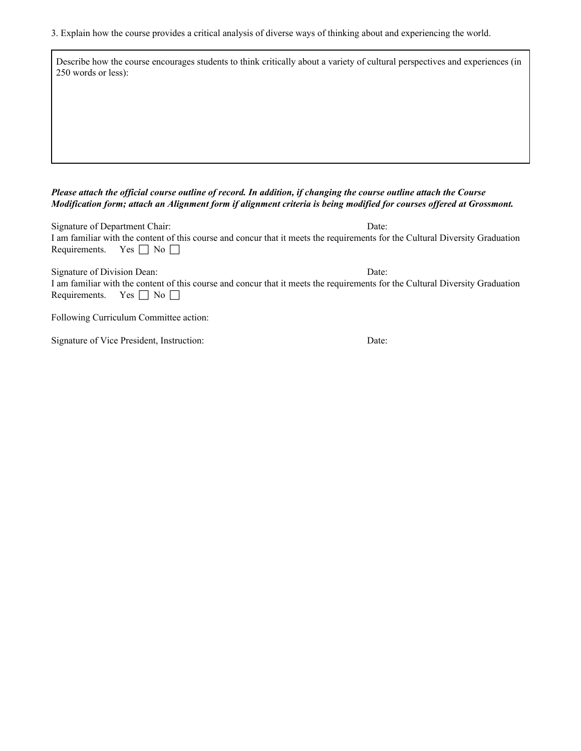3. Explain how the course provides a critical analysis of diverse ways of thinking about and experiencing the world.

| Describe how the course encourages students to think critically about a variety of cultural perspectives and experiences (in<br>250 words or less): |  |  |  |  |  |  |
|-----------------------------------------------------------------------------------------------------------------------------------------------------|--|--|--|--|--|--|
|                                                                                                                                                     |  |  |  |  |  |  |
|                                                                                                                                                     |  |  |  |  |  |  |
|                                                                                                                                                     |  |  |  |  |  |  |

## Please attach the official course outline of record. In addition, if changing the course outline attach the Course Modification form; attach an Alignment form if alignment criteria is being modified for courses offered at Grossmont.

| Signature of Department Chair: |                                                                                                                               | Date: |  |  |
|--------------------------------|-------------------------------------------------------------------------------------------------------------------------------|-------|--|--|
|                                | I am familiar with the content of this course and concur that it meets the requirements for the Cultural Diversity Graduation |       |  |  |
| Requirements. Yes $\Box$ No    |                                                                                                                               |       |  |  |
|                                |                                                                                                                               |       |  |  |

| Signature of Division Dean: |                                                                                                                               | Date: |
|-----------------------------|-------------------------------------------------------------------------------------------------------------------------------|-------|
|                             | I am familiar with the content of this course and concur that it meets the requirements for the Cultural Diversity Graduation |       |
|                             | Requirements. Yes $\Box$ No $\Box$                                                                                            |       |

Following Curriculum Committee action:

Signature of Vice President, Instruction: Date: